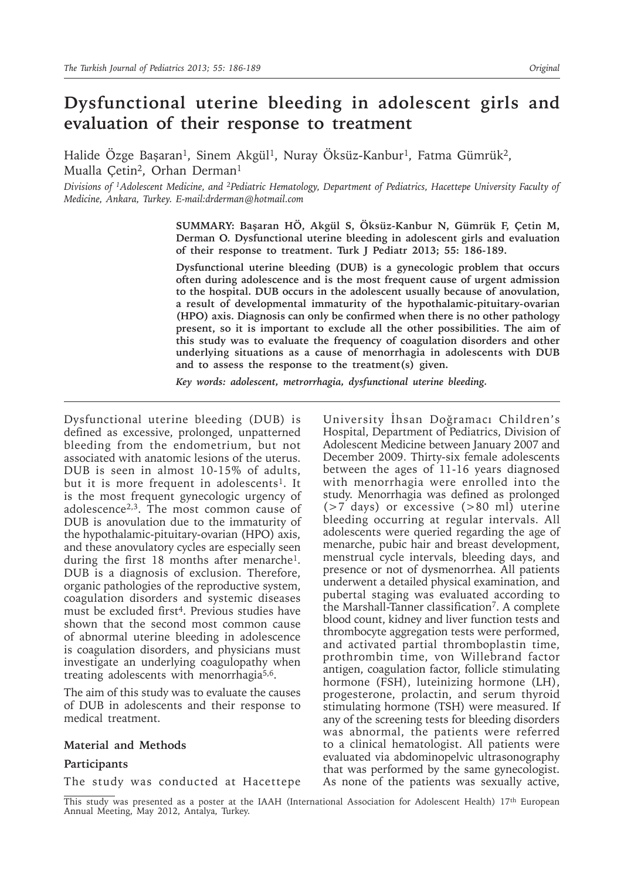# **Dysfunctional uterine bleeding in adolescent girls and evaluation of their response to treatment**

Halide Özge Başaran<sup>1</sup>, Sinem Akgül<sup>1</sup>, Nuray Öksüz-Kanbur<sup>1</sup>, Fatma Gümrük<sup>2</sup>, Mualla Cetin<sup>2</sup>, Orhan Derman<sup>1</sup>

*Divisions of 1Adolescent Medicine, and 2Pediatric Hematology, Department of Pediatrics, Hacettepe University Faculty of Medicine, Ankara, Turkey. E-mail:drderman@hotmail.com* 

> **SUMMARY: Başaran HÖ, Akgül S, Öksüz-Kanbur N, Gümrük F, Çetin M, Derman O. Dysfunctional uterine bleeding in adolescent girls and evaluation of their response to treatment. Turk J Pediatr 2013; 55: 186-189.**

> **Dysfunctional uterine bleeding (DUB) is a gynecologic problem that occurs often during adolescence and is the most frequent cause of urgent admission to the hospital. DUB occurs in the adolescent usually because of anovulation, a result of developmental immaturity of the hypothalamic-pituitary-ovarian (HPO) axis. Diagnosis can only be confirmed when there is no other pathology present, so it is important to exclude all the other possibilities. The aim of this study was to evaluate the frequency of coagulation disorders and other underlying situations as a cause of menorrhagia in adolescents with DUB and to assess the response to the treatment(s) given.**

*Key words: adolescent, metrorrhagia, dysfunctional uterine bleeding.*

Dysfunctional uterine bleeding (DUB) is defined as excessive, prolonged, unpatterned bleeding from the endometrium, but not associated with anatomic lesions of the uterus. DUB is seen in almost 10-15% of adults, but it is more frequent in adolescents<sup>1</sup>. It is the most frequent gynecologic urgency of adolescence<sup>2,3</sup>. The most common cause of DUB is anovulation due to the immaturity of the hypothalamic-pituitary-ovarian (HPO) axis, and these anovulatory cycles are especially seen during the first 18 months after menarche<sup>1</sup>. DUB is a diagnosis of exclusion. Therefore, organic pathologies of the reproductive system, coagulation disorders and systemic diseases must be excluded first<sup>4</sup>. Previous studies have shown that the second most common cause of abnormal uterine bleeding in adolescence is coagulation disorders, and physicians must investigate an underlying coagulopathy when treating adolescents with menorrhagia<sup>5,6</sup>.

The aim of this study was to evaluate the causes of DUB in adolescents and their response to medical treatment.

### **Material and Methods**

#### **Participants**

The study was conducted at Hacettepe

University İhsan Doğramacı Children's Hospital, Department of Pediatrics, Division of Adolescent Medicine between January 2007 and December 2009. Thirty-six female adolescents between the ages of 11-16 years diagnosed with menorrhagia were enrolled into the study. Menorrhagia was defined as prolonged  $(>7$  days) or excessive  $(>80 \text{ ml})$  uterine bleeding occurring at regular intervals. All adolescents were queried regarding the age of menarche, pubic hair and breast development, menstrual cycle intervals, bleeding days, and presence or not of dysmenorrhea. All patients underwent a detailed physical examination, and pubertal staging was evaluated according to the Marshall-Tanner classification<sup>7</sup>. A complete blood count, kidney and liver function tests and thrombocyte aggregation tests were performed, and activated partial thromboplastin time, prothrombin time, von Willebrand factor antigen, coagulation factor, follicle stimulating hormone (FSH), luteinizing hormone (LH), progesterone, prolactin, and serum thyroid stimulating hormone (TSH) were measured. If any of the screening tests for bleeding disorders was abnormal, the patients were referred to a clinical hematologist. All patients were evaluated via abdominopelvic ultrasonography that was performed by the same gynecologist. As none of the patients was sexually active,

This study was presented as a poster at the IAAH (International Association for Adolescent Health) 17th European Annual Meeting, May 2012, Antalya, Turkey.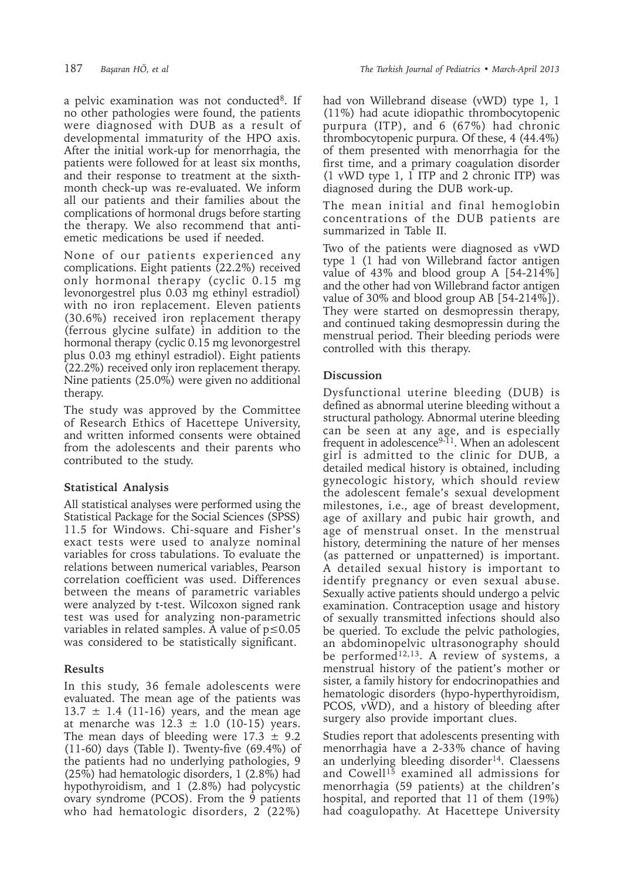a pelvic examination was not conducted<sup>8</sup>. If no other pathologies were found, the patients were diagnosed with DUB as a result of developmental immaturity of the HPO axis. After the initial work-up for menorrhagia, the patients were followed for at least six months, and their response to treatment at the sixthmonth check-up was re-evaluated. We inform all our patients and their families about the complications of hormonal drugs before starting the therapy. We also recommend that antiemetic medications be used if needed.

None of our patients experienced any complications. Eight patients (22.2%) received only hormonal therapy (cyclic 0.15 mg levonorgestrel plus 0.03 mg ethinyl estradiol) with no iron replacement. Eleven patients (30.6%) received iron replacement therapy (ferrous glycine sulfate) in addition to the hormonal therapy (cyclic 0.15 mg levonorgestrel plus 0.03 mg ethinyl estradiol). Eight patients (22.2%) received only iron replacement therapy. Nine patients (25.0%) were given no additional therapy.

The study was approved by the Committee of Research Ethics of Hacettepe University, and written informed consents were obtained from the adolescents and their parents who contributed to the study.

## **Statistical Analysis**

All statistical analyses were performed using the Statistical Package for the Social Sciences (SPSS) 11.5 for Windows. Chi-square and Fisher's exact tests were used to analyze nominal variables for cross tabulations. To evaluate the relations between numerical variables, Pearson correlation coefficient was used. Differences between the means of parametric variables were analyzed by t-test. Wilcoxon signed rank test was used for analyzing non-parametric variables in related samples. A value of p≤0.05 was considered to be statistically significant.

## **Results**

In this study, 36 female adolescents were evaluated. The mean age of the patients was  $13.7 \pm 1.4$  (11-16) years, and the mean age at menarche was  $12.3 \pm 1.0$  (10-15) years. The mean days of bleeding were  $17.3 \pm 9.2$ (11-60) days (Table I). Twenty-five (69.4%) of the patients had no underlying pathologies, 9 (25%) had hematologic disorders, 1 (2.8%) had hypothyroidism, and 1 (2.8%) had polycystic ovary syndrome (PCOS). From the 9 patients who had hematologic disorders, 2 (22%) had von Willebrand disease (vWD) type 1, 1 (11%) had acute idiopathic thrombocytopenic purpura (ITP), and 6 (67%) had chronic thrombocytopenic purpura. Of these, 4 (44.4%) of them presented with menorrhagia for the first time, and a primary coagulation disorder (1 vWD type 1,  $1$  ITP and 2 chronic ITP) was diagnosed during the DUB work-up.

The mean initial and final hemoglobin concentrations of the DUB patients are summarized in Table II.

Two of the patients were diagnosed as vWD type 1 (1 had von Willebrand factor antigen value of 43% and blood group A [54-214%] and the other had von Willebrand factor antigen value of 30% and blood group AB [54-214%]). They were started on desmopressin therapy, and continued taking desmopressin during the menstrual period. Their bleeding periods were controlled with this therapy.

### **Discussion**

Dysfunctional uterine bleeding (DUB) is defined as abnormal uterine bleeding without a structural pathology. Abnormal uterine bleeding can be seen at any age, and is especially frequent in adolescence<sup>9-11</sup>. When an adolescent girl is admitted to the clinic for DUB, a detailed medical history is obtained, including gynecologic history, which should review the adolescent female's sexual development milestones, i.e., age of breast development, age of axillary and pubic hair growth, and age of menstrual onset. In the menstrual history, determining the nature of her menses (as patterned or unpatterned) is important. A detailed sexual history is important to identify pregnancy or even sexual abuse. Sexually active patients should undergo a pelvic examination. Contraception usage and history of sexually transmitted infections should also be queried. To exclude the pelvic pathologies, an abdominopelvic ultrasonography should be performed<sup>12,13</sup>. A review of systems, a menstrual history of the patient's mother or sister, a family history for endocrinopathies and hematologic disorders (hypo-hyperthyroidism, PCOS, vWD), and a history of bleeding after surgery also provide important clues.

Studies report that adolescents presenting with menorrhagia have a 2-33% chance of having an underlying bleeding disorder<sup>14</sup>. Claessens and Cowell<sup>15</sup> examined all admissions for menorrhagia (59 patients) at the children's hospital, and reported that 11 of them (19%) had coagulopathy. At Hacettepe University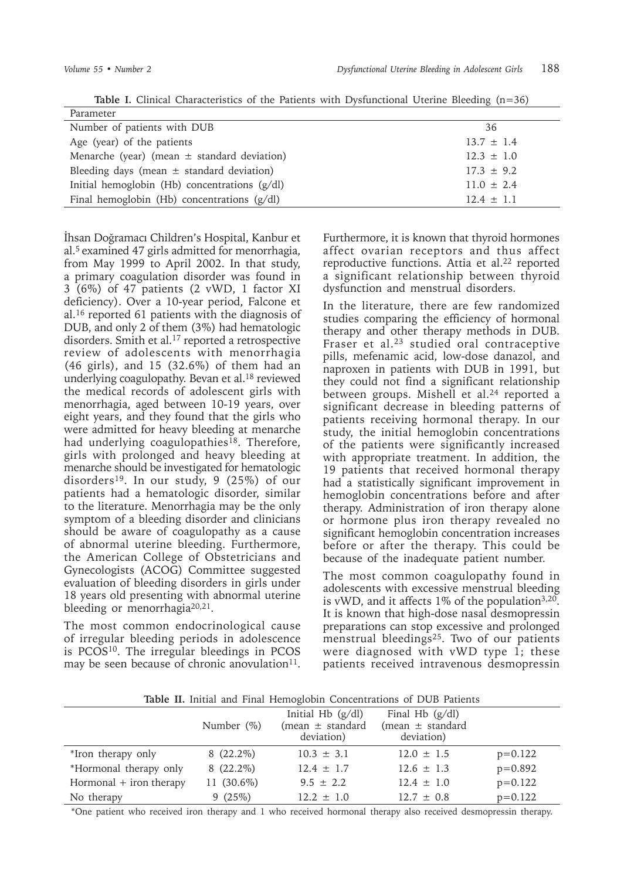| Parameter                                                         |  |
|-------------------------------------------------------------------|--|
| Number of patients with DUB<br>36                                 |  |
| Age (year) of the patients<br>$13.7 \pm 1.4$                      |  |
| Menarche (year) (mean $\pm$ standard deviation)<br>$12.3 \pm 1.0$ |  |
| Bleeding days (mean $\pm$ standard deviation)<br>$17.3 \pm 9.2$   |  |
| Initial hemoglobin (Hb) concentrations (g/dl)<br>$11.0 \pm 2.4$   |  |
| Final hemoglobin (Hb) concentrations $(g/dl)$<br>$12.4 \pm 1.1$   |  |

İhsan Doğramacı Children's Hospital, Kanbur et al.<sup>5</sup> examined 47 girls admitted for menorrhagia, from May 1999 to April 2002. In that study, a primary coagulation disorder was found in 3 (6%) of 47 patients (2 vWD, 1 factor XI deficiency). Over a 10-year period, Falcone et al.<sup>16</sup> reported 61 patients with the diagnosis of DUB, and only 2 of them (3%) had hematologic disorders. Smith et al.<sup>17</sup> reported a retrospective review of adolescents with menorrhagia (46 girls), and 15 (32.6%) of them had an underlying coagulopathy. Bevan et al.18 reviewed the medical records of adolescent girls with menorrhagia, aged between 10-19 years, over eight years, and they found that the girls who were admitted for heavy bleeding at menarche had underlying coagulopathies<sup>18</sup>. Therefore, girls with prolonged and heavy bleeding at menarche should be investigated for hematologic disorders<sup>19</sup>. In our study, 9 (25%) of our patients had a hematologic disorder, similar to the literature. Menorrhagia may be the only symptom of a bleeding disorder and clinicians should be aware of coagulopathy as a cause of abnormal uterine bleeding. Furthermore, the American College of Obstetricians and Gynecologists (ACOG) Committee suggested evaluation of bleeding disorders in girls under 18 years old presenting with abnormal uterine bleeding or menorrhagia<sup>20,21</sup>.

The most common endocrinological cause of irregular bleeding periods in adolescence is PCOS<sup>10</sup>. The irregular bleedings in PCOS may be seen because of chronic anovulation $11$ . Furthermore, it is known that thyroid hormones affect ovarian receptors and thus affect reproductive functions. Attia et al.<sup>22</sup> reported a significant relationship between thyroid dysfunction and menstrual disorders.

In the literature, there are few randomized studies comparing the efficiency of hormonal therapy and other therapy methods in DUB. Fraser et al.<sup>23</sup> studied oral contraceptive pills, mefenamic acid, low-dose danazol, and naproxen in patients with DUB in 1991, but they could not find a significant relationship between groups. Mishell et al.<sup>24</sup> reported a significant decrease in bleeding patterns of patients receiving hormonal therapy. In our study, the initial hemoglobin concentrations of the patients were significantly increased with appropriate treatment. In addition, the 19 patients that received hormonal therapy had a statistically significant improvement in hemoglobin concentrations before and after therapy. Administration of iron therapy alone or hormone plus iron therapy revealed no significant hemoglobin concentration increases before or after the therapy. This could be because of the inadequate patient number.

The most common coagulopathy found in adolescents with excessive menstrual bleeding is vWD, and it affects  $1\%$  of the population<sup>3,20</sup>. It is known that high-dose nasal desmopressin preparations can stop excessive and prolonged menstrual bleedings<sup>25</sup>. Two of our patients were diagnosed with vWD type 1; these patients received intravenous desmopressin

**Table II.** Initial and Final Hemoglobin Concentrations of DUB Patients

|                           | Number $(\%)$ | Initial H $\mathbf b$ (g/dl)<br>(mean $\pm$ standard<br>deviation) | Final Hb $(g/dl)$<br>(mean $\pm$ standard<br>deviation) |             |
|---------------------------|---------------|--------------------------------------------------------------------|---------------------------------------------------------|-------------|
| *Iron therapy only        | $8(22.2\%)$   | $10.3 \pm 3.1$                                                     | $12.0 \pm 1.5$                                          | $p=0.122$   |
| *Hormonal therapy only    | $8(22.2\%)$   | $12.4 \pm 1.7$                                                     | $12.6 \pm 1.3$                                          | $p = 0.892$ |
| Hormonal $+$ iron therapy | 11 (30.6%)    | $9.5 \pm 2.2$                                                      | $12.4 \pm 1.0$                                          | $p=0.122$   |
| No therapy                | 9(25%)        | $12.2 \pm 1.0$                                                     | $12.7 \pm 0.8$                                          | $p = 0.122$ |

\*One patient who received iron therapy and 1 who received hormonal therapy also received desmopressin therapy.